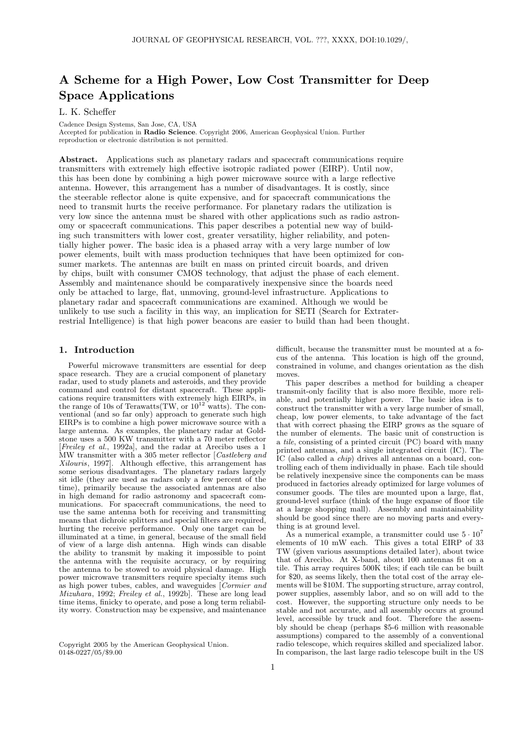# A Scheme for a High Power, Low Cost Transmitter for Deep Space Applications

# L. K. Scheffer

Cadence Design Systems, San Jose, CA, USA Accepted for publication in Radio Science. Copyright 2006, American Geophysical Union. Further reproduction or electronic distribution is not permitted.

Abstract. Applications such as planetary radars and spacecraft communications require transmitters with extremely high effective isotropic radiated power (EIRP). Until now, this has been done by combining a high power microwave source with a large reflective antenna. However, this arrangement has a number of disadvantages. It is costly, since the steerable reflector alone is quite expensive, and for spacecraft communications the need to transmit hurts the receive performance. For planetary radars the utilization is very low since the antenna must be shared with other applications such as radio astronomy or spacecraft communications. This paper describes a potential new way of building such transmitters with lower cost, greater versatility, higher reliability, and potentially higher power. The basic idea is a phased array with a very large number of low power elements, built with mass production techniques that have been optimized for consumer markets. The antennas are built en mass on printed circuit boards, and driven by chips, built with consumer CMOS technology, that adjust the phase of each element. Assembly and maintenance should be comparatively inexpensive since the boards need only be attached to large, flat, unmoving, ground-level infrastructure. Applications to planetary radar and spacecraft communications are examined. Although we would be unlikely to use such a facility in this way, an implication for SETI (Search for Extraterrestrial Intelligence) is that high power beacons are easier to build than had been thought.

### 1. Introduction

Powerful microwave transmitters are essential for deep space research. They are a crucial component of planetary radar, used to study planets and asteroids, and they provide command and control for distant spacecraft. These applications require transmitters with extremely high EIRPs, in the range of 10s of Terawatts(TW, or  $10^{12}$  watts). The conventional (and so far only) approach to generate such high EIRPs is to combine a high power microwave source with a large antenna. As examples, the planetary radar at Goldstone uses a 500 KW transmitter with a 70 meter reflector [Freiley et al., 1992a], and the radar at Arecibo uses a 1 MW transmitter with a 305 meter reflector [Castleberg and Xilouris, 1997]. Although effective, this arrangement has some serious disadvantages. The planetary radars largely sit idle (they are used as radars only a few percent of the time), primarily because the associated antennas are also in high demand for radio astronomy and spacecraft communications. For spacecraft communications, the need to use the same antenna both for receiving and transmitting means that dichroic splitters and special filters are required, hurting the receive performance. Only one target can be illuminated at a time, in general, because of the small field of view of a large dish antenna. High winds can disable the ability to transmit by making it impossible to point the antenna with the requisite accuracy, or by requiring the antenna to be stowed to avoid physical damage. High power microwave transmitters require specialty items such as high power tubes, cables, and waveguides [Cormier and Mizuhara, 1992; Freiley et al., 1992bl. These are long lead time items, finicky to operate, and pose a long term reliability worry. Construction may be expensive, and maintenance

Copyright 2005 by the American Geophysical Union. 0148-0227/05/\$9.00

difficult, because the transmitter must be mounted at a focus of the antenna. This location is high off the ground, constrained in volume, and changes orientation as the dish moves.

This paper describes a method for building a cheaper transmit-only facility that is also more flexible, more reliable, and potentially higher power. The basic idea is to construct the transmitter with a very large number of small, cheap, low power elements, to take advantage of the fact that with correct phasing the EIRP grows as the square of the number of elements. The basic unit of construction is a tile, consisting of a printed circuit (PC) board with many printed antennas, and a single integrated circuit (IC). The IC (also called a chip) drives all antennas on a board, controlling each of them individually in phase. Each tile should be relatively inexpensive since the components can be mass produced in factories already optimized for large volumes of consumer goods. The tiles are mounted upon a large, flat, ground-level surface (think of the huge expanse of floor tile at a large shopping mall). Assembly and maintainability should be good since there are no moving parts and everything is at ground level.

As a numerical example, a transmitter could use  $5 \cdot 10^7$ elements of 10 mW each. This gives a total EIRP of 33 TW (given various assumptions detailed later), about twice that of Arecibo. At X-band, about 100 antennas fit on a tile. This array requires 500K tiles; if each tile can be built for \$20, as seems likely, then the total cost of the array elements will be \$10M. The supporting structure, array control, power supplies, assembly labor, and so on will add to the cost. However, the supporting structure only needs to be stable and not accurate, and all assembly occurs at ground level, accessible by truck and foot. Therefore the assembly should be cheap (perhaps \$5-6 million with reasonable assumptions) compared to the assembly of a conventional radio telescope, which requires skilled and specialized labor. In comparison, the last large radio telescope built in the US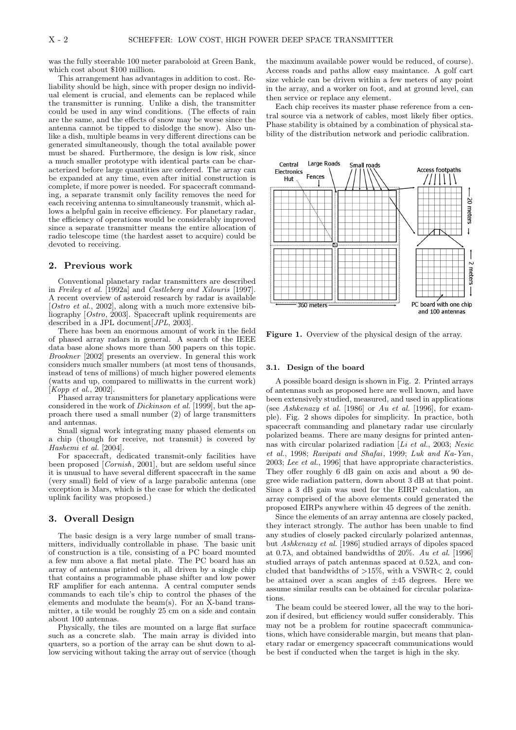was the fully steerable 100 meter paraboloid at Green Bank, which cost about \$100 million.

This arrangement has advantages in addition to cost. Reliability should be high, since with proper design no individual element is crucial, and elements can be replaced while the transmitter is running. Unlike a dish, the transmitter could be used in any wind conditions. (The effects of rain are the same, and the effects of snow may be worse since the antenna cannot be tipped to dislodge the snow). Also unlike a dish, multiple beams in very different directions can be generated simultaneously, though the total available power must be shared. Furthermore, the design is low risk, since a much smaller prototype with identical parts can be characterized before large quantities are ordered. The array can be expanded at any time, even after initial construction is complete, if more power is needed. For spacecraft commanding, a separate transmit only facility removes the need for each receiving antenna to simultaneously transmit, which allows a helpful gain in receive efficiency. For planetary radar, the efficiency of operations would be considerably improved since a separate transmitter means the entire allocation of radio telescope time (the hardest asset to acquire) could be devoted to receiving.

## 2. Previous work

Conventional planetary radar transmitters are described in Freiley et al. [1992a] and Castleberg and Xilouris [1997]. A recent overview of asteroid research by radar is available [Ostro et al., 2002], along with a much more extensive bibliography [Ostro, 2003]. Spacecraft uplink requirements are described in a JPL document [JPL, 2003].

There has been an enormous amount of work in the field of phased array radars in general. A search of the IEEE data base alone shows more than 500 papers on this topic. Brookner [2002] presents an overview. In general this work considers much smaller numbers (at most tens of thousands, instead of tens of millions) of much higher powered elements (watts and up, compared to milliwatts in the current work) [Kopp et al., 2002].

Phased array transmitters for planetary applications were considered in the work of Dickinson et al. [1999], but the approach there used a small number (2) of large transmitters and antennas.

Small signal work integrating many phased elements on a chip (though for receive, not transmit) is covered by Hashemi et al. [2004].

For spacecraft, dedicated transmit-only facilities have been proposed [Cornish, 2001], but are seldom useful since it is unusual to have several different spacecraft in the same (very small) field of view of a large parabolic antenna (one exception is Mars, which is the case for which the dedicated uplink facility was proposed.)

# 3. Overall Design

The basic design is a very large number of small transmitters, individually controllable in phase. The basic unit of construction is a tile, consisting of a PC board mounted a few mm above a flat metal plate. The PC board has an array of antennas printed on it, all driven by a single chip that contains a programmable phase shifter and low power RF amplifier for each antenna. A central computer sends commands to each tile's chip to control the phases of the elements and modulate the beam(s). For an X-band transmitter, a tile would be roughly 25 cm on a side and contain about 100 antennas.

Physically, the tiles are mounted on a large flat surface such as a concrete slab. The main array is divided into quarters, so a portion of the array can be shut down to allow servicing without taking the array out of service (though the maximum available power would be reduced, of course). Access roads and paths allow easy maintance. A golf cart size vehicle can be driven within a few meters of any point in the array, and a worker on foot, and at ground level, can then service or replace any element.

Each chip receives its master phase reference from a central source via a network of cables, most likely fiber optics. Phase stability is obtained by a combination of physical stability of the distribution network and periodic calibration.



Figure 1. Overview of the physical design of the array.

### 3.1. Design of the board

A possible board design is shown in Fig. 2. Printed arrays of antennas such as proposed here are well known, and have been extensively studied, measured, and used in applications (see Ashkenazy et al. [1986] or Au et al. [1996], for example). Fig. 2 shows dipoles for simplicity. In practice, both spacecraft commanding and planetary radar use circularly polarized beams. There are many designs for printed antennas with circular polarized radiation [Li et al., 2003; Nesic et al., 1998; Ravipati and Shafai, 1999; Luk and Ka-Yan, 2003; Lee et al., 1996] that have appropriate characteristics. They offer roughly 6 dB gain on axis and about a 90 degree wide radiation pattern, down about 3 dB at that point. Since a 3 dB gain was used for the EIRP calculation, an array comprised of the above elements could generated the proposed EIRPs anywhere within 45 degrees of the zenith.

Since the elements of an array antenna are closely packed, they interact strongly. The author has been unable to find any studies of closely packed circularly polarized antennas, but Ashkenazy et al. [1986] studied arrays of dipoles spaced at 0.7 $\lambda$ , and obtained bandwidths of 20%. Au et al. [1996] studied arrays of patch antennas spaced at  $0.52\lambda$ , and concluded that bandwidths of >15%, with a VSWR< 2, could be attained over a scan angles of ±45 degrees. Here we assume similar results can be obtained for circular polarizations.

The beam could be steered lower, all the way to the horizon if desired, but efficiency would suffer considerably. This may not be a problem for routine spacecraft communications, which have considerable margin, but means that planetary radar or emergency spacecraft communications would be best if conducted when the target is high in the sky.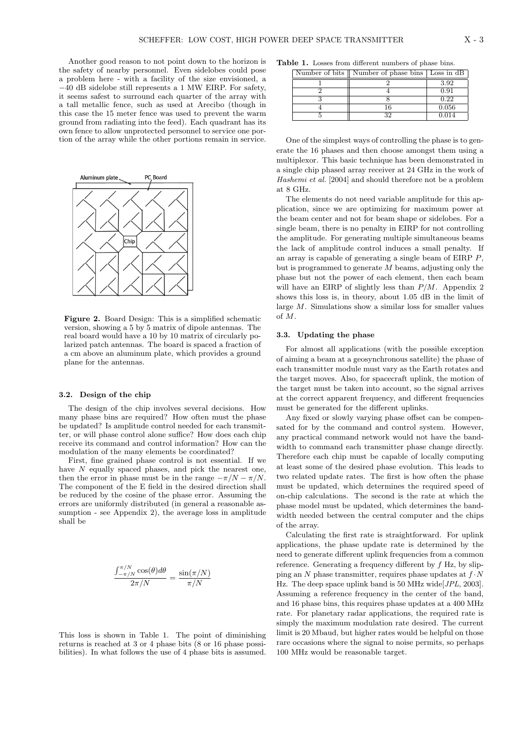Another good reason to not point down to the horizon is the safety of nearby personnel. Even sidelobes could pose a problem here - with a facility of the size envisioned, a −40 dB sidelobe still represents a 1 MW EIRP. For safety, it seems safest to surround each quarter of the array with a tall metallic fence, such as used at Arecibo (though in this case the 15 meter fence was used to prevent the warm ground from radiating into the feed). Each quadrant has its own fence to allow unprotected personnel to service one portion of the array while the other portions remain in service.



Figure 2. Board Design: This is a simplified schematic version, showing a 5 by 5 matrix of dipole antennas. The real board would have a 10 by 10 matrix of circularly polarized patch antennas. The board is spaced a fraction of a cm above an aluminum plate, which provides a ground plane for the antennas.

### 3.2. Design of the chip

The design of the chip involves several decisions. How many phase bins are required? How often must the phase be updated? Is amplitude control needed for each transmitter, or will phase control alone suffice? How does each chip receive its command and control information? How can the modulation of the many elements be coordinated?

First, fine grained phase control is not essential. If we have N equally spaced phases, and pick the nearest one, then the error in phase must be in the range  $-\pi/N - \pi/N$ . The component of the E field in the desired direction shall be reduced by the cosine of the phase error. Assuming the errors are uniformly distributed (in general a reasonable assumption - see Appendix 2), the average loss in amplitude shall be

$$
\frac{\int_{-\pi/N}^{\pi/N} \cos(\theta) d\theta}{2\pi/N} = \frac{\sin(\pi/N)}{\pi/N}
$$

This loss is shown in Table 1. The point of diminishing returns is reached at 3 or 4 phase bits (8 or 16 phase possibilities). In what follows the use of 4 phase bits is assumed.

Table 1. Losses from different numbers of phase bins.

| Number of bits    Number of phase bins   Loss in dB |       |
|-----------------------------------------------------|-------|
|                                                     | 3.92  |
|                                                     | 0.91  |
|                                                     | 0.22  |
|                                                     | 0.056 |
|                                                     | 0.014 |

One of the simplest ways of controlling the phase is to generate the 16 phases and then choose amongst them using a multiplexor. This basic technique has been demonstrated in a single chip phased array receiver at 24 GHz in the work of Hashemi et al. [2004] and should therefore not be a problem at 8 GHz.

The elements do not need variable amplitude for this application, since we are optimizing for maximum power at the beam center and not for beam shape or sidelobes. For a single beam, there is no penalty in EIRP for not controlling the amplitude. For generating multiple simultaneous beams the lack of amplitude control induces a small penalty. If an array is capable of generating a single beam of EIRP P, but is programmed to generate M beams, adjusting only the phase but not the power of each element, then each beam will have an EIRP of slightly less than  $P/M$ . Appendix 2 shows this loss is, in theory, about 1.05 dB in the limit of large M. Simulations show a similar loss for smaller values of M.

### 3.3. Updating the phase

For almost all applications (with the possible exception of aiming a beam at a geosynchronous satellite) the phase of each transmitter module must vary as the Earth rotates and the target moves. Also, for spacecraft uplink, the motion of the target must be taken into account, so the signal arrives at the correct apparent frequency, and different frequencies must be generated for the different uplinks.

Any fixed or slowly varying phase offset can be compensated for by the command and control system. However, any practical command network would not have the bandwidth to command each transmitter phase change directly. Therefore each chip must be capable of locally computing at least some of the desired phase evolution. This leads to two related update rates. The first is how often the phase must be updated, which determines the required speed of on-chip calculations. The second is the rate at which the phase model must be updated, which determines the bandwidth needed between the central computer and the chips of the array.

Calculating the first rate is straightforward. For uplink applications, the phase update rate is determined by the need to generate different uplink frequencies from a common reference. Generating a frequency different by f Hz, by slipping an N phase transmitter, requires phase updates at  $f \cdot N$ Hz. The deep space uplink band is 50 MHz wide [JPL, 2003]. Assuming a reference frequency in the center of the band, and 16 phase bins, this requires phase updates at a 400 MHz rate. For planetary radar applications, the required rate is simply the maximum modulation rate desired. The current limit is 20 Mbaud, but higher rates would be helpful on those rare occasions where the signal to noise permits, so perhaps 100 MHz would be reasonable target.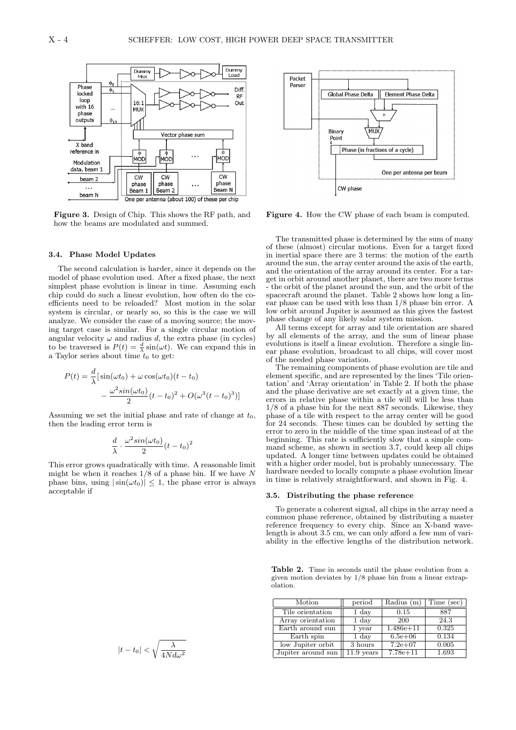

Figure 3. Design of Chip. This shows the RF path, and how the beams are modulated and summed.

#### 3.4. Phase Model Updates

The second calculation is harder, since it depends on the model of phase evolution used. After a fixed phase, the next simplest phase evolution is linear in time. Assuming each chip could do such a linear evolution, how often do the coefficients need to be reloaded? Most motion in the solar system is circular, or nearly so, so this is the case we will analyze. We consider the case of a moving source; the moving target case is similar. For a single circular motion of angular velocity  $\omega$  and radius d, the extra phase (in cycles) to be traversed is  $P(t) = \frac{d}{\lambda} \sin(\omega t)$ . We can expand this in a Taylor series about time  $t_0$  to get:

$$
P(t) = \frac{d}{\lambda} [\sin(\omega t_0) + \omega \cos(\omega t_0)(t - t_0) - \frac{\omega^2 \sin(\omega t_0)}{2} (t - t_0)^2 + O(\omega^3 (t - t_0)^3)]
$$

Assuming we set the initial phase and rate of change at  $t_0$ , then the leading error term is

$$
\frac{d}{\lambda} \cdot \frac{\omega^2 sin(\omega t_0)}{2} (t - t_0)^2
$$

This error grows quadratically with time. A reasonable limit might be when it reaches  $1/8$  of a phase bin. If we have N phase bins, using  $|\sin(\omega t_0)| \leq 1$ , the phase error is always acceptable if



Figure 4. How the CW phase of each beam is computed.

The transmitted phase is determined by the sum of many of these (almost) circular motions. Even for a target fixed in inertial space there are 3 terms: the motion of the earth around the sun, the array center around the axis of the earth, and the orientation of the array around its center. For a target in orbit around another planet, there are two more terms - the orbit of the planet around the sun, and the orbit of the spacecraft around the planet. Table 2 shows how long a linear phase can be used with less than 1/8 phase bin error. A low orbit around Jupiter is assumed as this gives the fastest phase change of any likely solar system mission.

All terms except for array and tile orientation are shared by all elements of the array, and the sum of linear phase evolutions is itself a linear evolution. Therefore a single linear phase evolution, broadcast to all chips, will cover most of the needed phase variation.

The remaining components of phase evolution are tile and element specific, and are represented by the lines 'Tile orientation' and 'Array orientation' in Table 2. If both the phase and the phase derivative are set exactly at a given time, the errors in relative phase within a tile will will be less than 1/8 of a phase bin for the next 887 seconds. Likewise, they phase of a tile with respect to the array center will be good for 24 seconds. These times can be doubled by setting the error to zero in the middle of the time span instead of at the beginning. This rate is sufficiently slow that a simple command scheme, as shown in section 3.7, could keep all chips updated. A longer time between updates could be obtained with a higher order model, but is probably unnecessary. The hardware needed to locally compute a phase evolution linear in time is relatively straightforward, and shown in Fig. 4.

#### 3.5. Distributing the phase reference

To generate a coherent signal, all chips in the array need a common phase reference, obtained by distributing a master reference frequency to every chip. Since an X-band wavelength is about 3.5 cm, we can only afford a few mm of variability in the effective lengths of the distribution network.

Table 2. Time in seconds until the phase evolution from a given motion deviates by 1/8 phase bin from a linear extrapolation.

| Motion             | period           | Radius $(m)$  | Time (sec) |
|--------------------|------------------|---------------|------------|
| Tile orientation   | $1\;day$         | 0.15          | 887        |
| Array orientation  | $1 \mathrm{day}$ | 200           | 24.3       |
| Earth around sun   | 1 year           | $1.486e + 11$ | 0.325      |
| Earth spin         | $1 \mathrm{day}$ | $6.5e + 06$   | 0.134      |
| low Jupiter orbit  | 3 hours          | $7.2e + 07$   | 0.005      |
| Jupiter around sun | $11.9$ years     | $7.78e + 11$  | 1.693      |

$$
|t-t_0|<\sqrt{\frac{\lambda}{4Nd\omega^2}}
$$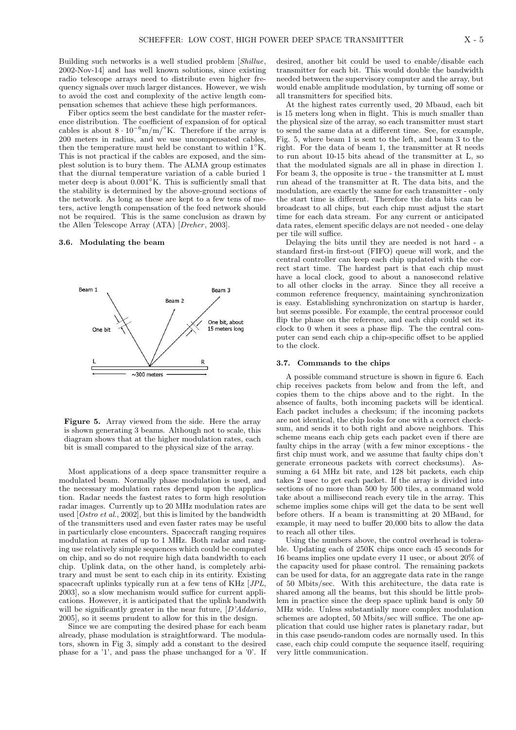Building such networks is a well studied problem [Shillue, 2002-Nov-14] and has well known solutions, since existing radio telescope arrays need to distribute even higher frequency signals over much larger distances. However, we wish to avoid the cost and complexity of the active length compensation schemes that achieve these high performances.

Fiber optics seem the best candidate for the master reference distribution. The coefficient of expansion of for optical cables is about  $8 \cdot 10^{-6}$ m/m/ $\mathrm{K}$ . Therefore if the array is 200 meters in radius, and we use uncompensated cables, then the temperature must held be constant to within 1◦K. This is not practical if the cables are exposed, and the simplest solution is to bury them. The ALMA group estimates that the diurnal temperature variation of a cable buried 1 meter deep is about 0.001◦K. This is sufficiently small that the stability is determined by the above-ground sections of the network. As long as these are kept to a few tens of meters, active length compensation of the feed network should not be required. This is the same conclusion as drawn by the Allen Telescope Array (ATA) [Dreher, 2003].

### 3.6. Modulating the beam



Figure 5. Array viewed from the side. Here the array is shown generating 3 beams. Although not to scale, this diagram shows that at the higher modulation rates, each bit is small compared to the physical size of the array.

Most applications of a deep space transmitter require a modulated beam. Normally phase modulation is used, and the necessary modulation rates depend upon the application. Radar needs the fastest rates to form high resolution radar images. Currently up to 20 MHz modulation rates are used [Ostro et al., 2002], but this is limited by the bandwidth of the transmitters used and even faster rates may be useful in particularly close encounters. Spacecraft ranging requires modulation at rates of up to 1 MHz. Both radar and ranging use relatively simple sequences which could be computed on chip, and so do not require high data bandwidth to each chip. Uplink data, on the other hand, is completely arbitrary and must be sent to each chip in its entirity. Existing spacecraft uplinks typically run at a few tens of KHz [JPL, 2003], so a slow mechanism would suffice for current applications. However, it is anticipated that the uplink bandwith will be significantly greater in the near future,  $[D'Addario,$ 2005], so it seems prudent to allow for this in the design.

Since we are computing the desired phase for each beam already, phase modulation is straightforward. The modulators, shown in Fig 3, simply add a constant to the desired phase for a '1', and pass the phase unchanged for a '0'. If

desired, another bit could be used to enable/disable each transmitter for each bit. This would double the bandwidth needed between the supervisory computer and the array, but would enable amplitude modulation, by turning off some or all transmitters for specified bits.

At the highest rates currently used, 20 Mbaud, each bit is 15 meters long when in flight. This is much smaller than the physical size of the array, so each transmitter must start to send the same data at a different time. See, for example, Fig. 5, where beam 1 is sent to the left, and beam 3 to the right. For the data of beam 1, the transmitter at R needs to run about 10-15 bits ahead of the transmitter at L, so that the modulated signals are all in phase in direction 1. For beam 3, the opposite is true - the transmitter at L must run ahead of the transmitter at R. The data bits, and the modulation, are exactly the same for each transmitter - only the start time is different. Therefore the data bits can be broadcast to all chips, but each chip must adjust the start time for each data stream. For any current or anticipated data rates, element specific delays are not needed - one delay per tile will suffice.

Delaying the bits until they are needed is not hard - a standard first-in first-out (FIFO) queue will work, and the central controller can keep each chip updated with the correct start time. The hardest part is that each chip must have a local clock, good to about a nanosecond relative to all other clocks in the array. Since they all receive a common reference frequency, maintaining synchronization is easy. Establishing synchronization on startup is harder, but seems possible. For example, the central processor could flip the phase on the reference, and each chip could set its clock to 0 when it sees a phase flip. The the central computer can send each chip a chip-specific offset to be applied to the clock.

### 3.7. Commands to the chips

A possible command structure is shown in figure 6. Each chip receives packets from below and from the left, and copies them to the chips above and to the right. In the absence of faults, both incoming packets will be identical. Each packet includes a checksum; if the incoming packets are not identical, the chip looks for one with a correct checksum, and sends it to both right and above neighbors. This scheme means each chip gets each packet even if there are faulty chips in the array (with a few minor exceptions - the first chip must work, and we assume that faulty chips don't generate erroneous packets with correct checksums). Assuming a 64 MHz bit rate, and 128 bit packets, each chip takes 2 usec to get each packet. If the array is divided into sections of no more than 500 by 500 tiles, a command wold take about a millisecond reach every tile in the array. This scheme implies some chips will get the data to be sent well before others. If a beam is transmitting at 20 MBaud, for example, it may need to buffer 20,000 bits to allow the data to reach all other tiles.

Using the numbers above, the control overhead is tolerable. Updating each of 250K chips once each 45 seconds for 16 beams implies one update every 11 usec, or about 20% of the capacity used for phase control. The remaining packets can be used for data, for an aggregate data rate in the range of 50 Mbits/sec. With this architecture, the data rate is shared among all the beams, but this should be little problem in practice since the deep space uplink band is only 50 MHz wide. Unless substantially more complex modulation schemes are adopted, 50 Mbits/sec will suffice. The one application that could use higher rates is planetary radar, but in this case pseudo-random codes are normally used. In this case, each chip could compute the sequence itself, requiring very little communication.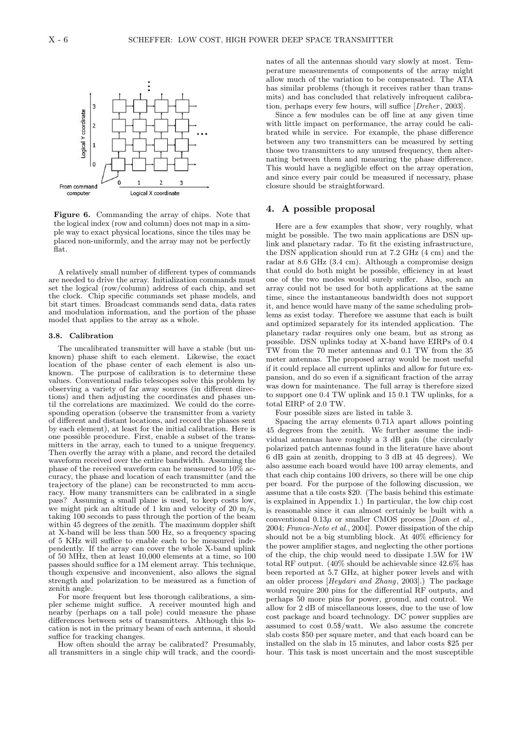

Figure 6. Commanding the array of chips. Note that the logical index (row and column) does not map in a simple way to exact physical locations, since the tiles may be placed non-uniformly, and the array may not be perfectly flat.

A relatively small number of different types of commands are needed to drive the array. Initialization commands must set the logical (row/column) address of each chip, and set the clock. Chip specific commands set phase models, and bit start times. Broadcast commands send data, data rates and modulation information, and the portion of the phase model that applies to the array as a whole.

### 3.8. Calibration

The uncalibrated transmitter will have a stable (but unknown) phase shift to each element. Likewise, the exact location of the phase center of each element is also unknown. The purpose of calibration is to determine these values. Conventional radio telescopes solve this problem by observing a variety of far away sources (in different directions) and then adjusting the coordinates and phases until the correlations are maximized. We could do the corresponding operation (observe the transmitter from a variety of different and distant locations, and record the phases sent by each element), at least for the initial calibration. Here is one possible procedure. First, enable a subset of the transmitters in the array, each to tuned to a unique frequency. Then overfly the array with a plane, and record the detailed waveform received over the entire bandwidth. Assuming the phase of the received waveform can be measured to  $10\%$  accuracy, the phase and location of each transmitter (and the trajectory of the plane) can be reconstructed to mm accuracy. How many transmitters can be calibrated in a single pass? Assuming a small plane is used, to keep costs low, we might pick an altitude of 1 km and velocity of 20 m/s. taking 100 seconds to pass through the portion of the beam within 45 degrees of the zenith. The maximum doppler shift at X-band will be less than 500 Hz, so a frequency spacing of 5 KHz will suffice to enable each to be measured independently. If the array can cover the whole X-band uplink of 50 MHz, then at least 10,000 elements at a time, so 100 passes should suffice for a 1M element array. This technique, though expensive and inconvenient, also allows the signal strength and polarization to be measured as a function of zenith angle.

For more frequent but less thorough calibrations, a simpler scheme might suffice. A receiver mounted high and nearby (perhaps on a tall pole) could measure the phase differences between sets of transmitters. Although this location is not in the primary beam of each antenna, it should suffice for tracking changes.

How often should the array be calibrated? Presumably, all transmitters in a single chip will track, and the coordinates of all the antennas should vary slowly at most. Temperature measurements of components of the array might allow much of the variation to be compensated. The ATA has similar problems (though it receives rather than transmits) and has concluded that relatively infrequent calibration, perhaps every few hours, will suffice [Dreher, 2003].

Since a few modules can be off line at any given time with little impact on performance, the array could be calibrated while in service. For example, the phase difference between any two transmitters can be measured by setting those two transmitters to any unused frequency, then alternating between them and measuring the phase difference. This would have a negligible effect on the array operation, and since every pair could be measured if necessary, phase closure should be straightforward.

### 4. A possible proposal

Here are a few examples that show, very roughly, what might be possible. The two main applications are DSN uplink and planetary radar. To fit the existing infrastructure, the DSN application should run at 7.2 GHz (4 cm) and the radar at 8.6 GHz (3.4 cm). Although a compromise design that could do both might be possible, efficiency in at least one of the two modes would surely suffer. Also, such an array could not be used for both applications at the same time, since the instantaneous bandwidth does not support it, and hence would have many of the same scheduling problems as exist today. Therefore we assume that each is built and optimized separately for its intended application. The planetary radar requires only one beam, but as strong as possible. DSN uplinks today at X-band have EIRPs of 0.4 TW from the 70 meter antennas and 0.1 TW from the 35 meter antennas. The proposed array would be most useful if it could replace all current uplinks and allow for future expansion, and do so even if a significant fraction of the array was down for maintenance. The full array is therefore sized to support one 0.4 TW uplink and 15 0.1 TW uplinks, for a total EIRP of 2.0 TW.

Four possible sizes are listed in table 3.

Spacing the array elements  $0.71\lambda$  apart allows pointing 45 degrees from the zenith. We further assume the individual antennas have roughly a 3 dB gain (the circularly polarized patch antennas found in the literature have about 6 dB gain at zenith, dropping to 3 dB at 45 degrees). We also assume each board would have 100 array elements, and that each chip contains 100 drivers, so there will be one chip per board. For the purpose of the following discussion, we assume that a tile costs \$20. (The basis behind this estimate is explained in Appendix 1.) In particular, the low chip cost is reasonable since it can almost certainly be built with a conventional  $0.13\mu$  or smaller CMOS process [*Doan et al.*, 2004; Franca-Neto et al., 2004]. Power dissipation of the chip should not be a big stumbling block. At 40% efficiency for the power amplifier stages, and neglecting the other portions of the chip, the chip would need to dissipate 1.5W for 1W total RF output. (40% should be achievable since 42.6% has been reported at 5.7 GHz, at higher power levels and with an older process [Heydari and Zhang, 2003].) The package would require 200 pins for the differential RF outputs, and perhaps 50 more pins for power, ground, and control. We allow for 2 dB of miscellaneous losses, due to the use of low cost package and board technology. DC power supplies are assumed to cost 0.5\$/watt. We also assume the concrete slab costs \$50 per square meter, and that each board can be installed on the slab in 15 minutes, and labor costs \$25 per hour. This task is most uncertain and the most susceptible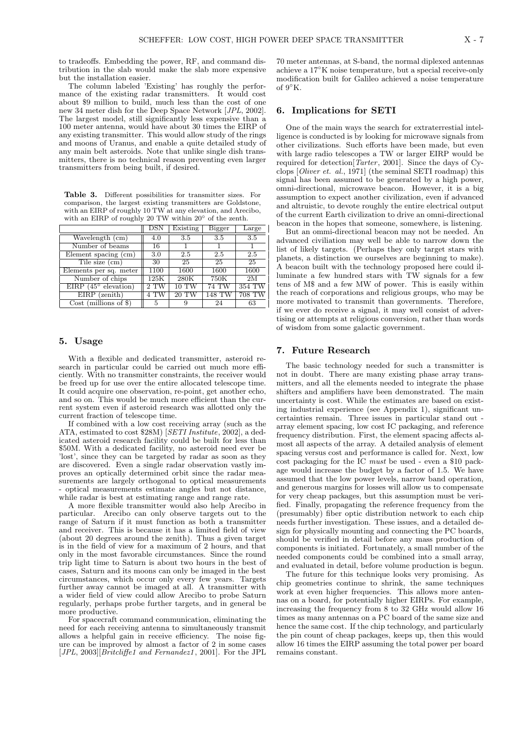to tradeoffs. Embedding the power, RF, and command distribution in the slab would make the slab more expensive but the installation easier.

The column labeled 'Existing' has roughly the performance of the existing radar transmitters. It would cost about \$9 million to build, much less than the cost of one new 34 meter dish for the Deep Space Network [JPL, 2002]. The largest model, still significantly less expensive than a 100 meter antenna, would have about 30 times the EIRP of any existing transmitter. This would allow study of the rings and moons of Uranus, and enable a quite detailed study of any main belt asteroids. Note that unlike single dish transmitters, there is no technical reason preventing even larger transmitters from being built, if desired.

Table 3. Different possibilities for transmitter sizes. For comparison, the largest existing transmitters are Goldstone, with an EIRP of roughly 10 TW at any elevation, and Arecibo, with an EIRP of roughly 20 TW within 20◦ of the zenth.

|                               | DSN    | Existing     | Bigger  | Large            |
|-------------------------------|--------|--------------|---------|------------------|
| Wavelength (cm)               | 4.0    | 3.5          | 3.5     | $\overline{3.5}$ |
| Number of beams               | 16     |              |         |                  |
| Element spacing $(cm)$        | 3.0    | 2.5          | 2.5     | 2.5              |
| Tile size $(cm)$              | 30     | 25           | 25      | 25               |
| Elements per sq. meter        | 1100   | 1600         | 1600    | 1600             |
| Number of chips               | 125K   | 280K         | 750K    | 2M               |
| EIRP $(45^{\circ}$ elevation) | $2$ TW | <b>10 TW</b> | $74$ TW | 354 TW           |
| $EIRP$ (zenith)               | 4 TW   | 20 TW        | 148 TW  | 708 TW           |
| $Cost$ (millions of $\})$     | 5      |              | 24      | 63               |

# 5. Usage

With a flexible and dedicated transmitter, asteroid research in particular could be carried out much more efficiently. With no transmitter constraints, the receiver would be freed up for use over the entire allocated telescope time. It could acquire one observation, re-point, get another echo, and so on. This would be much more efficient than the current system even if asteroid research was allotted only the current fraction of telescope time.

If combined with a low cost receiving array (such as the ATA, estimated to cost \$28M) [SETI Institute, 2002], a dedicated asteroid research facility could be built for less than \$50M. With a dedicated facility, no asteroid need ever be 'lost', since they can be targeted by radar as soon as they are discovered. Even a single radar observation vastly improves an optically determined orbit since the radar measurements are largely orthogonal to optical measurements - optical measurements estimate angles but not distance, while radar is best at estimating range and range rate.

A more flexible transmitter would also help Arecibo in particular. Arecibo can only observe targets out to the range of Saturn if it must function as both a transmitter and receiver. This is because it has a limited field of view (about 20 degrees around the zenith). Thus a given target is in the field of view for a maximum of 2 hours, and that only in the most favorable circumstances. Since the round trip light time to Saturn is about two hours in the best of cases, Saturn and its moons can only be imaged in the best circumstances, which occur only every few years. Targets further away cannot be imaged at all. A transmitter with a wider field of view could allow Arecibo to probe Saturn regularly, perhaps probe further targets, and in general be more productive.

For spacecraft command communication, eliminating the need for each receiving antenna to simultaneously transmit allows a helpful gain in receive efficiency. The noise figure can be improved by almost a factor of 2 in some cases [JPL, 2003][Britcliffe1 and Fernandez1, 2001]. For the JPL

70 meter antennas, at S-band, the normal diplexed antennas achieve a 17◦K noise temperature, but a special receive-only modification built for Galileo achieved a noise temperature of  $9^\circ K$ 

## 6. Implications for SETI

One of the main ways the search for extraterrestial intelligence is conducted is by looking for microwave signals from other civilizations. Such efforts have been made, but even with large radio telescopes a TW or larger EIRP would be required for detection[Tarter, 2001]. Since the days of Cyclops [Oliver et. al., 1971] (the seminal SETI roadmap) this signal has been assumed to be generated by a high power, omni-directional, microwave beacon. However, it is a big assumption to expect another civilization, even if advanced and altruistic, to devote roughly the entire electrical output of the current Earth civilization to drive an omni-directional beacon in the hopes that someone, somewhere, is listening.

But an ommi-directional beacon may not be needed. An advanced civiliation may well be able to narrow down the list of likely targets. (Perhaps they only target stars with planets, a distinction we ourselves are beginning to make). A beacon built with the technology proposed here could illuminate a few hundred stars with TW signals for a few tens of M\$ and a few MW of power. This is easily within the reach of corporations and religious groups, who may be more motivated to transmit than governments. Therefore, if we ever do receive a signal, it may well consist of advertising or attempts at religious conversion, rather than words of wisdom from some galactic government.

### 7. Future Research

The basic technology needed for such a transmitter is not in doubt. There are many existing phase array transmitters, and all the elements needed to integrate the phase shifters and amplifiers have been demonstrated. The main uncertainty is cost. While the estimates are based on existing industrial experience (see Appendix 1), significant uncertainties remain. Three issues in particular stand out array element spacing, low cost IC packaging, and reference frequency distribution. First, the element spacing affects almost all aspects of the array. A detailed analysis of element spacing versus cost and performance is called for. Next, low cost packaging for the IC must be used - even a \$10 package would increase the budget by a factor of 1.5. We have assumed that the low power levels, narrow band operation, and generous margins for losses will allow us to compensate for very cheap packages, but this assumption must be verified. Finally, propagating the reference frequency from the (presumably) fiber optic distribution network to each chip needs further investigation. These issues, and a detailed design for physically mounting and connecting the PC boards, should be verified in detail before any mass production of components is initiated. Fortunately, a small number of the needed components could be combined into a small array, and evaluated in detail, before volume production is begun.

The future for this technique looks very promising. As chip geometries continue to shrink, the same techniques work at even higher frequencies. This allows more antennas on a board, for potentially higher EIRPs. For example, increasing the frequency from 8 to 32 GHz would allow 16 times as many antennas on a PC board of the same size and hence the same cost. If the chip technology, and particularly the pin count of cheap packages, keeps up, then this would allow 16 times the EIRP assuming the total power per board remains constant.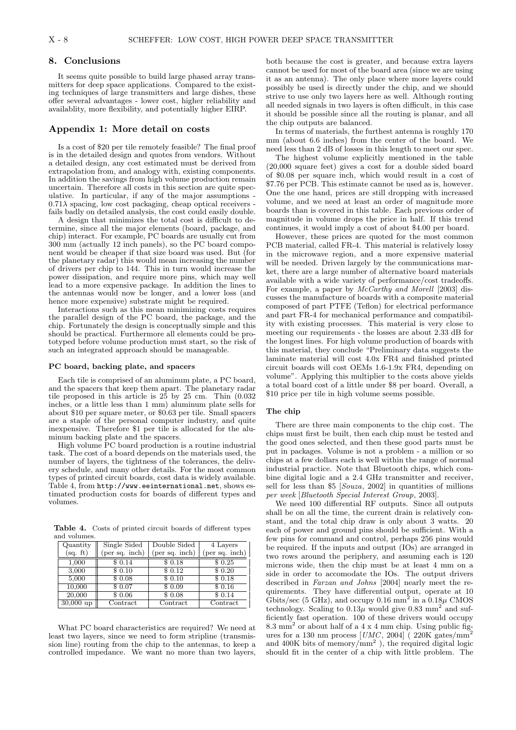# 8. Conclusions

It seems quite possible to build large phased array transmitters for deep space applications. Compared to the existing techniques of large transmitters and large dishes, these offer several advantages - lower cost, higher reliability and availablity, more flexibility, and potentially higher EIRP.

### Appendix 1: More detail on costs

Is a cost of \$20 per tile remotely feasible? The final proof is in the detailed design and quotes from vendors. Without a detailed design, any cost estimated must be derived from extrapolation from, and analogy with, existing components. In addition the savings from high volume production remain uncertain. Therefore all costs in this section are quite speculative. In particular, if any of the major assumptions -  $0.71\lambda$  spacing, low cost packaging, cheap optical receivers fails badly on detailed analysis, the cost could easily double.

A design that minimizes the total cost is difficult to determine, since all the major elements (board, package, and chip) interact. For example, PC boards are usually cut from 300 mm (actually 12 inch panels), so the PC board component would be cheaper if that size board was used. But (for the planetary radar) this would mean increasing the number of drivers per chip to 144. This in turn would increase the power dissipation, and require more pins, which may well lead to a more expensive package. In addition the lines to the antennas would now be longer, and a lower loss (and hence more expensive) substrate might be required.

Interactions such as this mean minimizing costs requires the parallel design of the PC board, the package, and the chip. Fortunately the design is conceptually simple and this should be practical. Furthermore all elements could be prototyped before volume production must start, so the risk of such an integrated approach should be manageable.

### PC board, backing plate, and spacers

Each tile is comprised of an aluminum plate, a PC board, and the spacers that keep them apart. The planetary radar tile proposed in this article is  $25 \text{ by } 25 \text{ cm}$ . Thin  $(0.032)$ inches, or a little less than 1 mm) aluminum plate sells for about \$10 per square meter, or \$0.63 per tile. Small spacers are a staple of the personal computer industry, and quite inexpensive. Therefore \$1 per tile is allocated for the aluminum backing plate and the spacers.

High volume PC board production is a routine industrial task. The cost of a board depends on the materials used, the number of layers, the tightness of the tolerances, the delivery schedule, and many other details. For the most common types of printed circuit boards, cost data is widely available. Table 4, from http://www.eeinternational.net, shows estimated production costs for boards of different types and volumes.

Table 4. Costs of printed circuit boards of different types and volumes.

| Quantity            | Single Sided             | Double Sided            | 4 Layers       |
|---------------------|--------------------------|-------------------------|----------------|
| (sq. ft)            | ${\rm (per\ sq.\ inch)}$ | $(\text{per sq. inch})$ | (per sq. inch) |
| 1,000               | \$ 0.14                  | \$0.18                  | \$ 0.25        |
| 3,000               | \$0.10                   | \$0.12                  | \$0.20         |
| 5,000               | \$0.08                   | \$0.10                  | \$0.18         |
| 10,000              | \$0.07                   | \$0.09                  | \$0.16         |
| 20,000              | \$0.06                   | \$0.08                  | \$0.14         |
| $30,000 \text{ up}$ | $\rm Contract$           | Contract                | Contract       |

What PC board characteristics are required? We need at least two layers, since we need to form stripline (transmission line) routing from the chip to the antennas, to keep a controlled impedance. We want no more than two layers, both because the cost is greater, and because extra layers cannot be used for most of the board area (since we are using it as an antenna). The only place where more layers could possibly be used is directly under the chip, and we should strive to use only two layers here as well. Although routing all needed signals in two layers is often difficult, in this case it should be possible since all the routing is planar, and all the chip outputs are balanced.

In terms of materials, the furthest antenna is roughly 170 mm (about 6.6 inches) from the center of the board. We need less than 2 dB of losses in this length to meet our spec.

The highest volume explicitly mentioned in the table (20,000 square feet) gives a cost for a double sided board of \$0.08 per square inch, which would result in a cost of \$7.76 per PCB. This estimate cannot be used as is, however. One the one hand, prices are still dropping with increased volume, and we need at least an order of magnitude more boards than is covered in this table. Each previous order of magnitude in volume drops the price in half. If this trend continues, it would imply a cost of about \$4.00 per board.

However, these prices are quoted for the most common PCB material, called FR-4. This material is relatively lossy in the microwave region, and a more expensive material will be needed. Driven largely by the communications market, there are a large number of alternative board materials available with a wide variety of performance/cost tradeoffs. For example, a paper by McCarthy and Morell [2003] discusses the manufacture of boards with a composite material composed of part PTFE (Teflon) for electrical performance and part FR-4 for mechanical performance and compatibility with existing processes. This material is very close to meeting our requirements - the losses are about 2.33 dB for the longest lines. For high volume production of boards with this material, they conclude "Preliminary data suggests the laminate material will cost 4.0x FR4 and finished printed circuit boards will cost OEMs 1.6-1.9x FR4, depending on volume". Applying this multiplier to the costs above yields a total board cost of a little under \$8 per board. Overall, a \$10 price per tile in high volume seems possible.

# The chip

There are three main components to the chip cost. The chips must first be built, then each chip must be tested and the good ones selected, and then these good parts must be put in packages. Volume is not a problem - a million or so chips at a few dollars each is well within the range of normal industrial practice. Note that Bluetooth chips, which combine digital logic and a 2.4 GHz transmitter and receiver, sell for less than \$5 [Souza, 2002] in quantities of millions per week [Bluetooth Special Interest Group, 2003].

We need 100 differential RF outputs. Since all outputs shall be on all the time, the current drain is relatively constant, and the total chip draw is only about 3 watts. 20 each of power and ground pins should be sufficient. With a few pins for command and control, perhaps 256 pins would be required. If the inputs and output (IOs) are arranged in two rows around the periphery, and assuming each is 120 microns wide, then the chip must be at least 4 mm on a side in order to accomodate the IOs. The output drivers described in Farzan and Johns [2004] nearly meet the requirements. They have differential output, operate at 10 Gbits/sec (5 GHz), and occupy 0.16 mm<sup>2</sup> in a  $0.18\mu$  CMOS technology. Scaling to  $0.13\mu$  would give 0.83 mm<sup>2</sup> and sufficiently fast operation. 100 of these drivers would occupy  $8.3 \text{ mm}^2$  or about half of a  $4 \times 4 \text{ mm}$  chip. Using public figures for a 130 nm process  $[UMC, 2004]$  (220K gates/mm<sup>2</sup>) and  $400K$  bits of memory/mm<sup>2</sup>), the required digital logic should fit in the center of a chip with little problem. The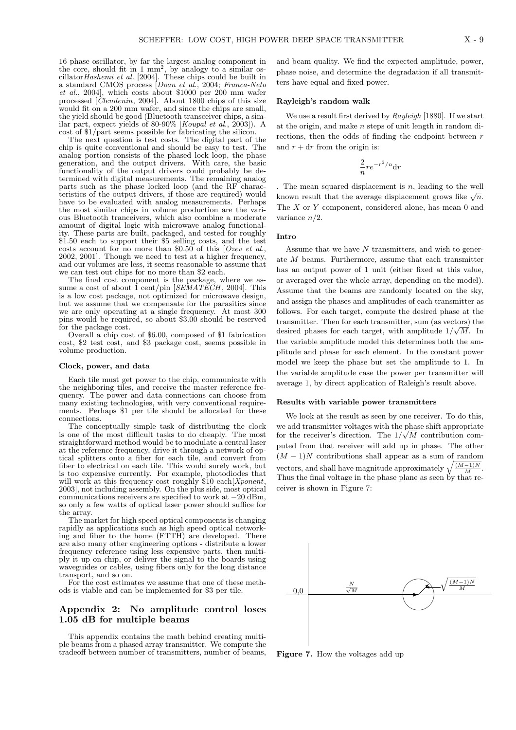16 phase oscillator, by far the largest analog component in the core, should fit in  $1 \text{ mm}^2$ , by analogy to a similar oscillatorHashemi et al. [2004]. These chips could be built in a standard CMOS process [Doan et al., 2004; Franca-Neto et al., 2004], which costs about \$1000 per 200 mm wafer processed [Clendenin, 2004]. About 1800 chips of this size would fit on a 200 mm wafer, and since the chips are small, the yield should be good (Bluetooth transceiver chips, a similar part, expect yields of 80-90% [ $Koupal et al., 2003$ ]). A cost of \$1/part seems possible for fabricating the silicon.

The next question is test costs. The digital part of the chip is quite conventional and should be easy to test. The analog portion consists of the phased lock loop, the phase generation, and the output drivers. With care, the basic functionality of the output drivers could probably be determined with digital measurements. The remaining analog parts such as the phase locked loop (and the RF characteristics of the output drivers, if those are required) would have to be evaluated with analog measurements. Perhaps the most similar chips in volume production are the various Bluetooth tranceivers, which also combine a moderate amount of digital logic with microwave analog functionality. These parts are built, packaged, and tested for roughly \$1.50 each to support their \$5 selling costs, and the test costs account for no more than \$0.50 of this [Ozev et al., 2002, 2001]. Though we need to test at a higher frequency, and our volumes are less, it seems reasonable to assume that we can test out chips for no more than \$2 each.

The final cost component is the package, where we assume a cost of about 1 cent/pin  $[SEMATECH, 2004]$ . This is a low cost package, not optimized for microwave design, but we assume that we compensate for the parasitics since we are only operating at a single frequency. At most 300 pins would be required, so about \$3.00 should be reserved for the package cost.

Overall a chip cost of \$6.00, composed of \$1 fabrication cost, \$2 test cost, and \$3 package cost, seems possible in volume production.

### Clock, power, and data

Each tile must get power to the chip, communicate with the neighboring tiles, and receive the master reference frequency. The power and data connections can choose from many existing technologies, with very conventional requirements. Perhaps \$1 per tile should be allocated for these connections.

The conceptually simple task of distributing the clock is one of the most difficult tasks to do cheaply. The most straightforward method would be to modulate a central laser at the reference frequency, drive it through a network of optical splitters onto a fiber for each tile, and convert from fiber to electrical on each tile. This would surely work, but is too expensive currently. For example, photodiodes that will work at this frequency cost roughly  $$10$  each[*Xponent*, 2003], not including assembly. On the plus side, most optical communications receivers are specified to work at −20 dBm, so only a few watts of optical laser power should suffice for the array.

The market for high speed optical components is changing rapidly as applications such as high speed optical networking and fiber to the home (FTTH) are developed. There are also many other engineering options - distribute a lower frequency reference using less expensive parts, then multiply it up on chip, or deliver the signal to the boards using waveguides or cables, using fibers only for the long distance transport, and so on.

For the cost estimates we assume that one of these methods is viable and can be implemented for \$3 per tile.

# Appendix 2: No amplitude control loses 1.05 dB for multiple beams

This appendix contains the math behind creating multiple beams from a phased array transmitter. We compute the tradeoff between number of transmitters, number of beams, and beam quality. We find the expected amplitude, power, phase noise, and determine the degradation if all transmitters have equal and fixed power.

### Rayleigh's random walk

We use a result first derived by Rayleigh [1880]. If we start at the origin, and make  $n$  steps of unit length in random directions, then the odds of finding the endpoint between  $r$ and  $r + dr$  from the origin is:

$$
\frac{2}{n}re^{-r^2/n}\mathrm{d}r
$$

. The mean squared displacement is  $n$ , leading to the well known result that the average displacement grows like  $\sqrt{n}$ . The X or Y component, considered alone, has mean 0 and variance  $n/2$ .

#### Intro

Assume that we have  $N$  transmitters, and wish to generate M beams. Furthermore, assume that each transmitter has an output power of 1 unit (either fixed at this value, or averaged over the whole array, depending on the model). Assume that the beams are randomly located on the sky, and assign the phases and amplitudes of each transmitter as follows. For each target, compute the desired phase at the transmitter. Then for each transmitter, sum (as vectors) the √ desired phases for each target, with amplitude  $1/\sqrt{M}$ . In the variable amplitude model this determines both the amplitude and phase for each element. In the constant power model we keep the phase but set the amplitude to 1. In the variable amplitude case the power per transmitter will average 1, by direct application of Raleigh's result above.

### Results with variable power transmitters

We look at the result as seen by one receiver. To do this, we add transmitter voltages with the phase shift appropriate for the receiver's direction. The  $1/\sqrt{M}$  contribution computed from that receiver will add up in phase. The other  $(M-1)N$  contributions shall appear as a sum of random vectors, and shall have magnitude approximately  $\sqrt{\frac{(M-1)N}{M}}$ . Thus the final voltage in the phase plane as seen by that receiver is shown in Figure 7:



Figure 7. How the voltages add up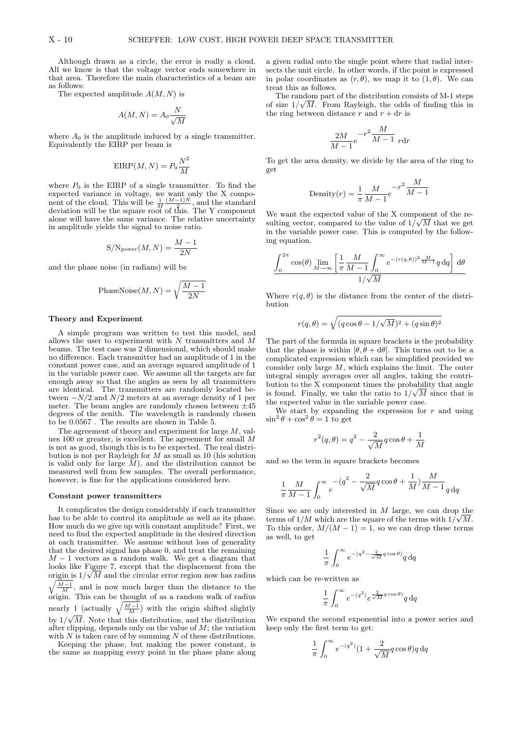Although drawn as a circle, the error is really a cloud. All we know is that the voltage vector ends somewhere in that area. Therefore the main characteristics of a beam are as follows:

The expected amplitude  $A(M, N)$  is

$$
A(M, N) = A_0 \frac{N}{\sqrt{M}}
$$

where  $A_0$  is the amplitude induced by a single transmitter. Equivalently the EIRP per beam is

$$
EIRP(M, N) = P_0 \frac{N^2}{M}
$$

where  $P_0$  is the EIRP of a single transmitter. To find the expected variance in voltage, we want only the X component of the cloud. This will be  $\frac{1}{M} \frac{(M-1)N}{2}$ , and the standard deviation will be the square root of this. The Y component alone will have the same variance. The relative uncertainty in amplitude yields the signal to noise ratio.

$$
S/N_{\text{power}}(M, N) = \frac{M - 1}{2N}
$$

and the phase noise (in radians) will be

PhaseNoise
$$
(M, N)
$$
 =  $\sqrt{\frac{M-1}{2N}}$ 

### Theory and Experiment

A simple program was written to test this model, and allows the user to experiment with  $N$  transmitters and  $M$ beams. The test case was 2 dimensional, which should make no difference. Each transmitter had an amplitude of 1 in the constant power case, and an average squared amplitude of 1 in the variable power case. We assume all the targets are far enough away so that the angles as seen by all transmitters are identical. The transmitters are randomly located between  $-N/2$  and  $N/2$  meters at an average density of 1 per meter. The beam angles are randomly chosen between  $\pm 45$ degrees of the zenith. The wavelength is randomly chosen to be 0.0567 . The results are shown in Table 5.

The agreement of theory and experiment for large M, values 100 or greater, is excellent. The agreement for small M is not as good, though this is to be expected. The real distribution is not per Rayleigh for  $M$  as small as 10 (his solution is valid only for large  $\overline{M}$ ), and the distribution cannot be measured well from few samples. The overall performance, however, is fine for the applications considered here.

#### Constant power transmitters

It complicates the design considerably if each transmitter has to be able to control its amplitude as well as its phase. How much do we give up with constant amplitude? First, we need to find the expected amplitude in the desired direction at each transmitter. We assume without loss of generality that the desired signal has phase 0, and treat the remaining  $M-1$  vectors as a random walk. We get a diagram that looks like Figure 7, except that the displacement from the origin is  $1/\sqrt{M}$  and the circular error region now has radius  $\sqrt{\frac{M-1}{M}}$ , and is now much larger than the distance to the origin. This can be thought of as a random walk of radius nearly 1 (actually  $\sqrt{\frac{M-1}{M}}$ ) with the origin shifted slightly by  $1/\sqrt{M}$ . Note that this distribution, and the distribution after clipping, depends only on the value of  $M$ ; the variation with  $N$  is taken care of by summing  $N$  of these distributions.

Keeping the phase, but making the power constant, is the same as mapping every point in the phase plane along a given radial onto the single point where that radial intersects the unit circle. In other words, if the point is expressed in polar coordinates as  $(r, \theta)$ , we map it to  $(1, \theta)$ . We can treat this as follows.

The random part of the distribution consists of M-1 steps of size  $1/\sqrt{M}$ . From Rayleigh, the odds of finding this in the ring between distance r and  $r + dr$  is

$$
\frac{2M}{M-1}e^{-r^2}\frac{M}{M-1}\ r\mathrm{d}r
$$

To get the area density, we divide by the area of the ring to get

Density
$$
(r) = \frac{1}{\pi} \frac{M}{M-1} e^{-r^2} \frac{M}{M-1}
$$

We want the expected value of the X component of the resulting vector, compared to the value of  $1/\sqrt{M}$  that we get in the variable power case. This is computed by the following equation.

$$
\int_0^{2\pi} \cos(\theta) \lim_{M \to \infty} \left[ \frac{1}{\pi} \frac{M}{M-1} \int_0^{\infty} e^{-(r(q,\theta))^2 \frac{M}{M-1}} q \,dq \right] d\theta
$$
  
1/ $\sqrt{M}$ 

Where  $r(q, \theta)$  is the distance from the center of the distribution

$$
r(q,\theta) = \sqrt{(q\cos\theta - 1/\sqrt{M})^2 + (q\sin\theta)^2}
$$

The part of the formula in square brackets is the probability that the phase is within  $[\theta, \theta + d\theta]$ . This turns out to be a complicated expression which can be simplified provided we consider only large  $M$ , which explains the limit. The outer integral simply averages over all angles, taking the contribution to the X component times the probability that angle is found. Finally, we take the ratio to  $1/\sqrt{M}$  since that is the expected value in the variable power case.

We start by expanding the expression for  $r$  and using  $\sin^2 \theta + \cos^2 \theta = 1$  to get

$$
r^2(q,\theta) = q^2 - \frac{2}{\sqrt{M}}q\cos\theta + \frac{1}{M}
$$

and so the term in square brackets becomes

$$
\frac{1}{\pi} \frac{M}{M-1} \int_0^{\infty} e^{-(q^2 - \frac{2}{\sqrt{M}} q \cos \theta + \frac{1}{M})} \frac{M}{M-1} q \, dq
$$

Since we are only interested in  $M$  large, we can drop the terms of  $1/M$  which are the square of the terms with  $1/\sqrt{M}$ . To this order,  $M/(M-1) = 1$ , so we can drop these terms as well, to get

$$
\frac{1}{\pi} \int_0^\infty e^{-(q^2 - \frac{2}{\sqrt{M}} q \cos \theta)} q \,\mathrm{d}q
$$

which can be re-written as

$$
\frac{1}{\pi}\int_0^\infty e^{-(q^2)}e^{\frac{2}{\sqrt{M}}q\cos\theta)}q\,\mathrm{d} q
$$

We expand the second exponential into a power series and keep only the first term to get:

$$
\frac{1}{\pi} \int_0^\infty e^{-(q^2)} (1 + \frac{2}{\sqrt{M}} q \cos \theta) q \,\mathrm{d}q
$$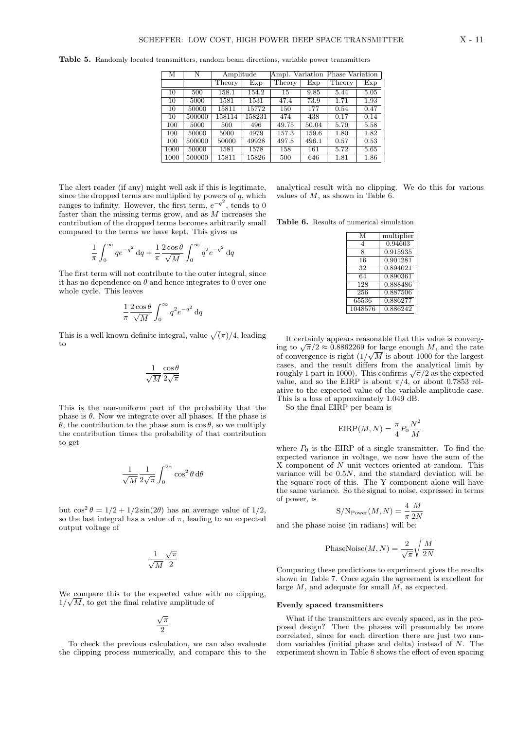| М    | Ν      | Amplitude |        | Ampl. Variation |       | Phase Variation |      |
|------|--------|-----------|--------|-----------------|-------|-----------------|------|
|      |        | Theory    | Exp    | Theory          | Exp   | Theory          | Exp  |
| 10   | 500    | 158.1     | 154.2  | 15              | 9.85  | 5.44            | 5.05 |
| 10   | 5000   | 1581      | 1531   | 47.4            | 73.9  | 1.71            | 1.93 |
| 10   | 50000  | 15811     | 15772  | 150             | 177   | 0.54            | 0.47 |
| 10   | 500000 | 158114    | 158231 | 474             | 438   | 0.17            | 0.14 |
| 100  | 5000   | 500       | 496    | 49.75           | 50.04 | 5.70            | 5.58 |
| 100  | 50000  | 5000      | 4979   | 157.3           | 159.6 | 1.80            | 1.82 |
| 100  | 500000 | 50000     | 49928  | 497.5           | 496.1 | 0.57            | 0.53 |
| 1000 | 50000  | 1581      | 1578   | 158             | 161   | 5.72            | 5.65 |
| 1000 | 500000 | 15811     | 15826  | 500             | 646   | 1.81            | 1.86 |

Table 5. Randomly located transmitters, random beam directions, variable power transmitters

The alert reader (if any) might well ask if this is legitimate, since the dropped terms are multiplied by powers of  $q$ , which ranges to infinity. However, the first term,  $e^{-q^2}$ , tends to 0 faster than the missing terms grow, and as M increases the contribution of the dropped terms becomes arbitrarily small compared to the terms we have kept. This gives us

$$
\frac{1}{\pi} \int_0^\infty q e^{-q^2} dq + \frac{1}{\pi} \frac{2 \cos \theta}{\sqrt{M}} \int_0^\infty q^2 e^{-q^2} dq
$$

The first term will not contribute to the outer integral, since it has no dependence on  $\theta$  and hence integrates to 0 over one whole cycle. This leaves

$$
\frac{1}{\pi} \frac{2 \cos \theta}{\sqrt{M}} \int_0^\infty q^2 e^{-q^2} dq
$$

This is a well known definite integral, value  $\sqrt{(\pi)/4}$ , leading to

$$
\frac{1}{\sqrt{M}} \frac{\cos \theta}{2\sqrt{\pi}}
$$

This is the non-uniform part of the probability that the phase is  $\theta$ . Now we integrate over all phases. If the phase is θ, the contribution to the phase sum is cos θ, so we multiply the contribution times the probability of that contribution to get

$$
\frac{1}{\sqrt{M}} \frac{1}{2\sqrt{\pi}} \int_0^{2\pi} \cos^2 \theta \, d\theta
$$

but  $\cos^2 \theta = 1/2 + 1/2 \sin(2\theta)$  has an average value of  $1/2$ , so the last integral has a value of  $\pi$ , leading to an expected output voltage of

$$
\frac{1}{\sqrt{M}}\frac{\sqrt{\pi}}{2}
$$

We compare this to the expected value with no clipping,  $1/\sqrt{M}$ , to get the final relative amplitude of

$$
\frac{\sqrt{\pi}}{2}
$$

To check the previous calculation, we can also evaluate the clipping process numerically, and compare this to the analytical result with no clipping. We do this for various values of  $M$ , as shown in Table 6.

Table 6. Results of numerical simulation

| М                | multiplier |
|------------------|------------|
| 4                | 0.94603    |
| 8                | 0.915935   |
| 16               | 0.901281   |
| 32               | 0.894021   |
| 64               | 0.890361   |
| 128              | 0.888486   |
| $\overline{256}$ | 0.887506   |
| 65536            | 0.886277   |
| 1048576          | 0.886242   |

It certainly appears reasonable that this value is converg-It certainly appears reasonable that this value is converg-<br>ing to  $\sqrt{\pi}/2 \approx 0.8862269$  for large enough M, and the rate of convergence is right  $(1/\sqrt{M})$  is about 1000 for the largest cases, and the result differs from the analytical limit by cases, and the result differs from the analytical limit by<br>roughly 1 part in 1000). This confirms  $\sqrt{\pi}/2$  as the expected value, and so the EIRP is about  $\pi/4$ , or about 0.7853 relative to the expected value of the variable amplitude case. This is a loss of approximately 1.049 dB.

So the final EIRP per beam is

$$
EIRP(M, N) = \frac{\pi}{4} P_0 \frac{N^2}{M}
$$

where  $P_0$  is the EIRP of a single transmitter. To find the expected variance in voltage, we now have the sum of the X component of N unit vectors oriented at random. This variance will be 0.5N, and the standard deviation will be the square root of this. The Y component alone will have the same variance. So the signal to noise, expressed in terms of power, is

$$
S/N_{\text{Power}}(M, N) = \frac{4}{\pi} \frac{M}{2N}
$$

and the phase noise (in radians) will be:

PhaseNoise
$$
(M, N) = \frac{2}{\sqrt{\pi}} \sqrt{\frac{M}{2N}}
$$

Comparing these predictions to experiment gives the results shown in Table 7. Once again the agreement is excellent for large M, and adequate for small M, as expected.

#### Evenly spaced transmitters

What if the transmitters are evenly spaced, as in the proposed design? Then the phases will presumably be more correlated, since for each direction there are just two random variables (initial phase and delta) instead of N. The experiment shown in Table 8 shows the effect of even spacing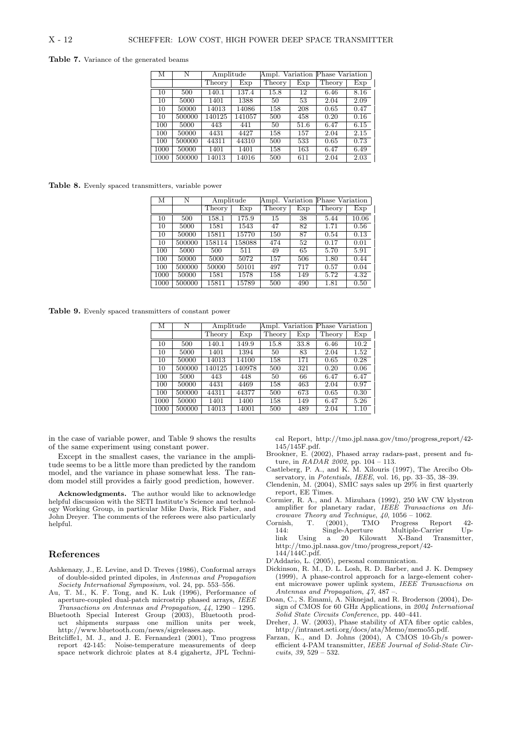### Table 7. Variance of the generated beams

| М    | Ν      | Amplitude |        | Ampl. Variation |      | Phase Variation |      |
|------|--------|-----------|--------|-----------------|------|-----------------|------|
|      |        | Theory    | Exp    | Theory          | Exp  | Theory          | Exp  |
| 10   | 500    | 140.1     | 137.4  | 15.8            | 12   | 6.46            | 8.16 |
| 10   | 5000   | 1401      | 1388   | 50              | 53   | 2.04            | 2.09 |
| 10   | 50000  | 14013     | 14086  | 158             | 208  | 0.65            | 0.47 |
| 10   | 500000 | 140125    | 141057 | 500             | 458  | 0.20            | 0.16 |
| 100  | 5000   | 443       | 441    | 50              | 51.6 | 6.47            | 6.15 |
| 100  | 50000  | 4431      | 4427   | 158             | 157  | 2.04            | 2.15 |
| 100  | 500000 | 44311     | 44310  | 500             | 533  | 0.65            | 0.73 |
| 1000 | 50000  | 1401      | 1401   | 158             | 163  | 6.47            | 6.49 |
| 1000 | 500000 | 14013     | 14016  | 500             | 611  | 2.04            | 2.03 |

Table 8. Evenly spaced transmitters, variable power

| М    | N      | Amplitude |        | Ampl. Variation |     | Phase Variation |       |
|------|--------|-----------|--------|-----------------|-----|-----------------|-------|
|      |        | Theory    | Exp    | Theory          | Exp | Theory          | Exp   |
| 10   | 500    | 158.1     | 175.9  | 15              | 38  | 5.44            | 10.06 |
| 10   | 5000   | 1581      | 1543   | 47              | 82  | 1.71            | 0.56  |
| 10   | 50000  | 15811     | 15770  | 150             | 87  | 0.54            | 0.13  |
| 10   | 500000 | 158114    | 158088 | 474             | 52  | 0.17            | 0.01  |
| 100  | 5000   | 500       | 511    | 49              | 65  | 5.70            | 5.91  |
| 100  | 50000  | 5000      | 5072   | 157             | 506 | 1.80            | 0.44  |
| 100  | 500000 | 50000     | 50101  | 497             | 717 | 0.57            | 0.04  |
| 1000 | 50000  | 1581      | 1578   | 158             | 149 | 5.72            | 4.32  |
| 1000 | 500000 | 15811     | 15789  | 500             | 490 | 1.81            | 0.50  |

Table 9. Evenly spaced transmitters of constant power

| М    | N      | Amplitude |        | Ampl. Variation |      | Phase Variation |      |
|------|--------|-----------|--------|-----------------|------|-----------------|------|
|      |        | Theory    | Exp    | Theory          | Exp  | Theory          | Exp  |
| 10   | 500    | 140.1     | 149.9  | 15.8            | 33.8 | 6.46            | 10.2 |
| 10   | 5000   | 1401      | 1394   | 50              | 83   | 2.04            | 1.52 |
| 10   | 50000  | 14013     | 14100  | 158             | 171  | 0.65            | 0.28 |
| 10   | 500000 | 140125    | 140978 | 500             | 321  | 0.20            | 0.06 |
| 100  | 5000   | 443       | 448    | 50              | 66   | 6.47            | 6.47 |
| 100  | 50000  | 4431      | 4469   | 158             | 463  | 2.04            | 0.97 |
| 100  | 500000 | 44311     | 44377  | 500             | 673  | 0.65            | 0.30 |
| 1000 | 50000  | 1401      | 1400   | 158             | 149  | 6.47            | 5.26 |
| 1000 | 500000 | 14013     | 14001  | 500             | 489  | 2.04            | 1.10 |

in the case of variable power, and Table 9 shows the results of the same experiment using constant power.

Except in the smallest cases, the variance in the amplitude seems to be a little more than predicted by the random model, and the variance in phase somewhat less. The random model still provides a fairly good prediction, however.

Acknowledgments. The author would like to acknowledge helpful discussion with the SETI Institute's Science and technology Working Group, in particular Mike Davis, Rick Fisher, and John Dreyer. The comments of the referees were also particularly helpful.

# References

- Ashkenazy, J., E. Levine, and D. Treves (1986), Conformal arrays of double-sided printed dipoles, in Antennas and Propagation Society International Symposium, vol. 24, pp. 553–556.
- Au, T. M., K. F. Tong, and K. Luk (1996), Performance of aperture-coupled dual-patch microstrip phased arrays, IEEE Transactions on Antennas and Propagation, 44, 1290 – 1295.
- Bluetooth Special Interest Group (2003), Bluetooth product shipments surpass one million units per week, http://www.bluetooth.com/news/sigreleases.asp.
- Britcliffe1, M. J., and J. E. Fernandez1 (2001), Tmo progress report 42-145: Noise-temperature measurements of deep space network dichroic plates at 8.4 gigahertz, JPL Techni-

cal Report, http://tmo.jpl.nasa.gov/tmo/progress report/42- 145/145F.pdf.

- Brookner, E. (2002), Phased array radars-past, present and future, in  $RADAR$  2002, pp. 104 – 113.
- Castleberg, P. A., and K. M. Xilouris (1997), The Arecibo Observatory, in Potentials, IEEE, vol. 16, pp. 33–35, 38–39.
- Clendenin, M. (2004), SMIC says sales up 29% in first quarterly report, EE Times.
- Cormier, R. A., and A. Mizuhara (1992), 250 kW CW klystron amplifier for planetary radar, IEEE Transactions on Microwave Theory and Technique,  $40, 1056 - 1062$ .<br>rnish, T. (2001), TMO Progress F.
- Cornish, T. (2001), TMO Progress Report 42- 144: Single-Aperture Multiple-Carrier Up-Using a  $20$  Kilowatt X-Band http://tmo.jpl.nasa.gov/tmo/progress\_report/42-144/144C.pdf.
- 
- D'Addario, L. (2005), personal communication. Dickinson, R. M., D. L. Losh, R. D. Barber, and J. K. Dempsey (1999), A phase-control approach for a large-element coherent microwave power uplink system, IEEE Transactions on Antennas and Propagation, 47, 487 –.
- Doan, C., S. Emami, A. Niknejad, and R. Broderson (2004), Design of CMOS for 60 GHz Applications, in  $2004$  International Solid State Circuits Conference, pp. 440–441.
- Dreher, J. W. (2003), Phase stability of ATA fiber optic cables, http://intranet.seti.org/docs/ata/Memo/memo55.pdf.
- Farzan, K., and D. Johns  $(2004)$ , A CMOS 10-Gb/s powerefficient 4-PAM transmitter, IEEE Journal of Solid-State Circuits, 39, 529 – 532.